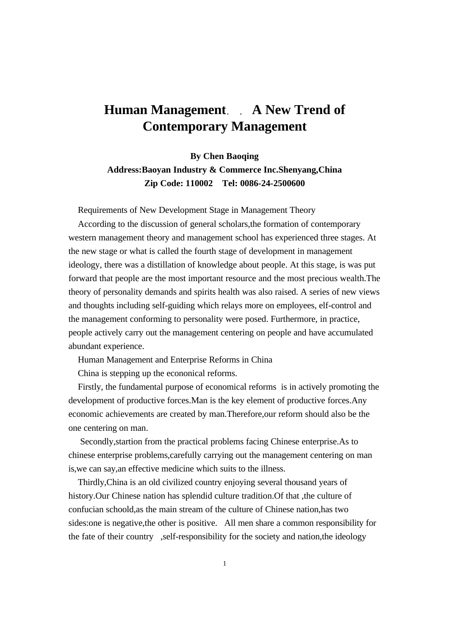## **Human Management. A New Trend of Contemporary Management**

**By Chen Baoqing Address:Baoyan Industry & Commerce Inc.Shenyang,China Zip Code: 110002 Tel: 0086-24-2500600**

Requirements of New Development Stage in Management Theory

 According to the discussion of general scholars,the formation of contemporary western management theory and management school has experienced three stages. At the new stage or what is called the fourth stage of development in management ideology, there was a distillation of knowledge about people. At this stage, is was put forward that people are the most important resource and the most precious wealth.The theory of personality demands and spirits health was also raised. A series of new views and thoughts including self-guiding which relays more on employees, elf-control and the management conforming to personality were posed. Furthermore, in practice, people actively carry out the management centering on people and have accumulated abundant experience.

Human Management and Enterprise Reforms in China

China is stepping up the econonical reforms.

 Firstly, the fundamental purpose of economical reforms is in actively promoting the development of productive forces.Man is the key element of productive forces.Any economic achievements are created by man.Therefore,our reform should also be the one centering on man.

 Secondly,startion from the practical problems facing Chinese enterprise.As to chinese enterprise problems,carefully carrying out the management centering on man is,we can say,an effective medicine which suits to the illness.

 Thirdly,China is an old civilized country enjoying several thousand years of history.Our Chinese nation has splendid culture tradition.Of that ,the culture of confucian schoold,as the main stream of the culture of Chinese nation,has two sides:one is negative,the other is positive. All men share a common responsibility for the fate of their country ,self-responsibility for the society and nation,the ideology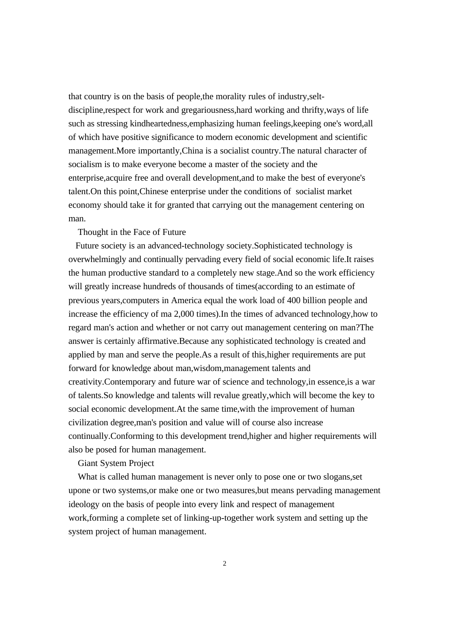that country is on the basis of people,the morality rules of industry,seltdiscipline,respect for work and gregariousness,hard working and thrifty,ways of life such as stressing kindheartedness,emphasizing human feelings,keeping one's word,all of which have positive significance to modern economic development and scientific management.More importantly,China is a socialist country.The natural character of socialism is to make everyone become a master of the society and the enterprise,acquire free and overall development,and to make the best of everyone's talent.On this point,Chinese enterprise under the conditions of socialist market economy should take it for granted that carrying out the management centering on man.

## Thought in the Face of Future

 Future society is an advanced-technology society.Sophisticated technology is overwhelmingly and continually pervading every field of social economic life.It raises the human productive standard to a completely new stage.And so the work efficiency will greatly increase hundreds of thousands of times(according to an estimate of previous years,computers in America equal the work load of 400 billion people and increase the efficiency of ma 2,000 times).In the times of advanced technology,how to regard man's action and whether or not carry out management centering on man?The answer is certainly affirmative.Because any sophisticated technology is created and applied by man and serve the people.As a result of this,higher requirements are put forward for knowledge about man,wisdom,management talents and creativity.Contemporary and future war of science and technology,in essence,is a war of talents.So knowledge and talents will revalue greatly,which will become the key to social economic development.At the same time,with the improvement of human civilization degree,man's position and value will of course also increase continually.Conforming to this development trend,higher and higher requirements will also be posed for human management.

## Giant System Project

 What is called human management is never only to pose one or two slogans,set upone or two systems,or make one or two measures,but means pervading management ideology on the basis of people into every link and respect of management work,forming a complete set of linking-up-together work system and setting up the system project of human management.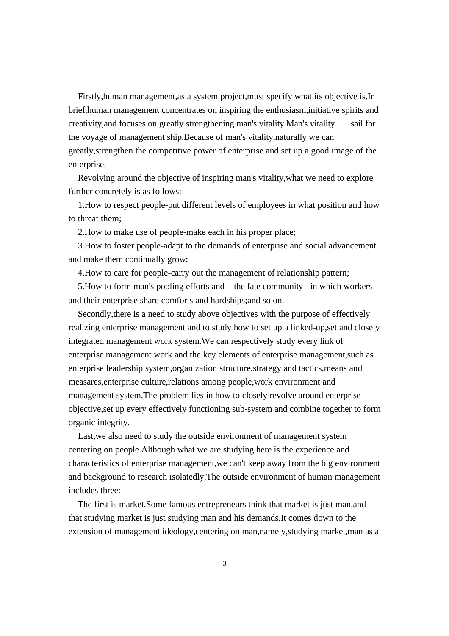Firstly,human management,as a system project,must specify what its objective is.In brief,human management concentrates on inspiring the enthusiasm,initiative spirits and creativity, and focuses on greatly strengthening man's vitality. Man's vitality sail for the voyage of management ship.Because of man's vitality,naturally we can greatly,strengthen the competitive power of enterprise and set up a good image of the enterprise.

 Revolving around the objective of inspiring man's vitality,what we need to explore further concretely is as follows:

 1.How to respect people-put different levels of employees in what position and how to threat them;

2.How to make use of people-make each in his proper place;

 3.How to foster people-adapt to the demands of enterprise and social advancement and make them continually grow;

4.How to care for people-carry out the management of relationship pattern;

 5.How to form man's pooling efforts and the fate community in which workers and their enterprise share comforts and hardships;and so on.

 Secondly,there is a need to study above objectives with the purpose of effectively realizing enterprise management and to study how to set up a linked-up,set and closely integrated management work system.We can respectively study every link of enterprise management work and the key elements of enterprise management,such as enterprise leadership system,organization structure,strategy and tactics,means and measares,enterprise culture,relations among people,work environment and management system.The problem lies in how to closely revolve around enterprise objective,set up every effectively functioning sub-system and combine together to form organic integrity.

 Last,we also need to study the outside environment of management system centering on people.Although what we are studying here is the experience and characteristics of enterprise management,we can't keep away from the big environment and background to research isolatedly.The outside environment of human management includes three:

 The first is market.Some famous entrepreneurs think that market is just man,and that studying market is just studying man and his demands.It comes down to the extension of management ideology,centering on man,namely,studying market,man as a